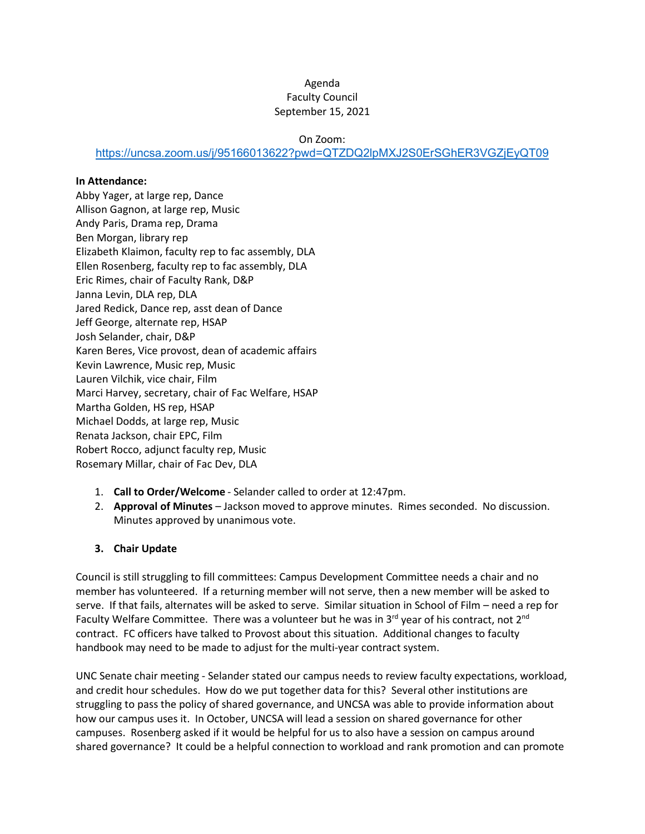# Agenda Faculty Council September 15, 2021

#### On Zoom:

## <https://uncsa.zoom.us/j/95166013622?pwd=QTZDQ2lpMXJ2S0ErSGhER3VGZjEyQT09>

#### **In Attendance:**

Abby Yager, at large rep, Dance Allison Gagnon, at large rep, Music Andy Paris, Drama rep, Drama Ben Morgan, library rep Elizabeth Klaimon, faculty rep to fac assembly, DLA Ellen Rosenberg, faculty rep to fac assembly, DLA Eric Rimes, chair of Faculty Rank, D&P Janna Levin, DLA rep, DLA Jared Redick, Dance rep, asst dean of Dance Jeff George, alternate rep, HSAP Josh Selander, chair, D&P Karen Beres, Vice provost, dean of academic affairs Kevin Lawrence, Music rep, Music Lauren Vilchik, vice chair, Film Marci Harvey, secretary, chair of Fac Welfare, HSAP Martha Golden, HS rep, HSAP Michael Dodds, at large rep, Music Renata Jackson, chair EPC, Film Robert Rocco, adjunct faculty rep, Music Rosemary Millar, chair of Fac Dev, DLA

- 1. **Call to Order/Welcome** Selander called to order at 12:47pm.
- 2. **Approval of Minutes** Jackson moved to approve minutes. Rimes seconded. No discussion. Minutes approved by unanimous vote.

### **3. Chair Update**

Council is still struggling to fill committees: Campus Development Committee needs a chair and no member has volunteered. If a returning member will not serve, then a new member will be asked to serve. If that fails, alternates will be asked to serve. Similar situation in School of Film – need a rep for Faculty Welfare Committee. There was a volunteer but he was in 3<sup>rd</sup> year of his contract, not 2<sup>nd</sup> contract. FC officers have talked to Provost about this situation. Additional changes to faculty handbook may need to be made to adjust for the multi-year contract system.

UNC Senate chair meeting - Selander stated our campus needs to review faculty expectations, workload, and credit hour schedules. How do we put together data for this? Several other institutions are struggling to pass the policy of shared governance, and UNCSA was able to provide information about how our campus uses it. In October, UNCSA will lead a session on shared governance for other campuses. Rosenberg asked if it would be helpful for us to also have a session on campus around shared governance? It could be a helpful connection to workload and rank promotion and can promote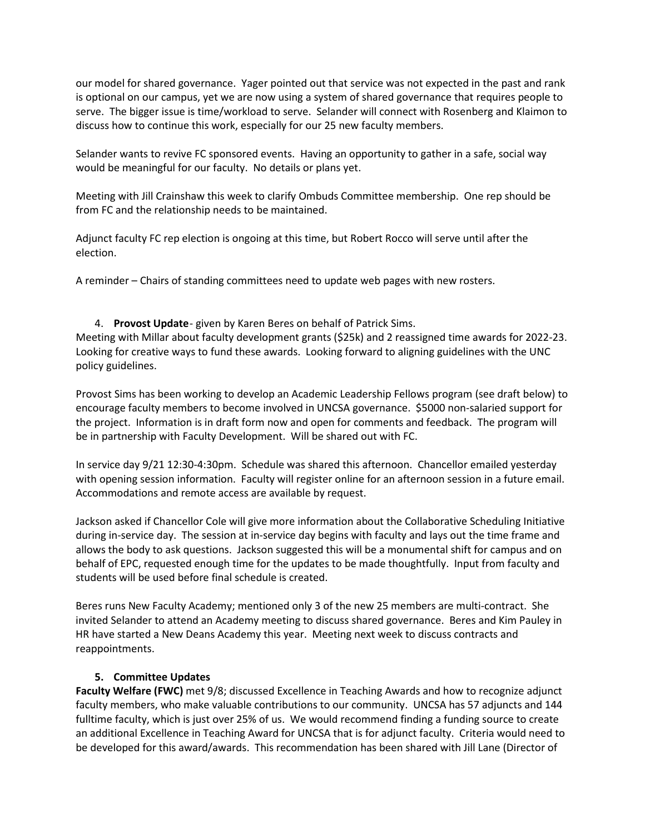our model for shared governance. Yager pointed out that service was not expected in the past and rank is optional on our campus, yet we are now using a system of shared governance that requires people to serve. The bigger issue is time/workload to serve. Selander will connect with Rosenberg and Klaimon to discuss how to continue this work, especially for our 25 new faculty members.

Selander wants to revive FC sponsored events. Having an opportunity to gather in a safe, social way would be meaningful for our faculty. No details or plans yet.

Meeting with Jill Crainshaw this week to clarify Ombuds Committee membership. One rep should be from FC and the relationship needs to be maintained.

Adjunct faculty FC rep election is ongoing at this time, but Robert Rocco will serve until after the election.

A reminder – Chairs of standing committees need to update web pages with new rosters.

# 4. **Provost Update**- given by Karen Beres on behalf of Patrick Sims.

Meeting with Millar about faculty development grants (\$25k) and 2 reassigned time awards for 2022-23. Looking for creative ways to fund these awards. Looking forward to aligning guidelines with the UNC policy guidelines.

Provost Sims has been working to develop an Academic Leadership Fellows program (see draft below) to encourage faculty members to become involved in UNCSA governance. \$5000 non-salaried support for the project. Information is in draft form now and open for comments and feedback. The program will be in partnership with Faculty Development. Will be shared out with FC.

In service day 9/21 12:30-4:30pm. Schedule was shared this afternoon. Chancellor emailed yesterday with opening session information. Faculty will register online for an afternoon session in a future email. Accommodations and remote access are available by request.

Jackson asked if Chancellor Cole will give more information about the Collaborative Scheduling Initiative during in-service day. The session at in-service day begins with faculty and lays out the time frame and allows the body to ask questions. Jackson suggested this will be a monumental shift for campus and on behalf of EPC, requested enough time for the updates to be made thoughtfully. Input from faculty and students will be used before final schedule is created.

Beres runs New Faculty Academy; mentioned only 3 of the new 25 members are multi-contract. She invited Selander to attend an Academy meeting to discuss shared governance. Beres and Kim Pauley in HR have started a New Deans Academy this year. Meeting next week to discuss contracts and reappointments.

### **5. Committee Updates**

**Faculty Welfare (FWC)** met 9/8; discussed Excellence in Teaching Awards and how to recognize adjunct faculty members, who make valuable contributions to our community. UNCSA has 57 adjuncts and 144 fulltime faculty, which is just over 25% of us. We would recommend finding a funding source to create an additional Excellence in Teaching Award for UNCSA that is for adjunct faculty. Criteria would need to be developed for this award/awards. This recommendation has been shared with Jill Lane (Director of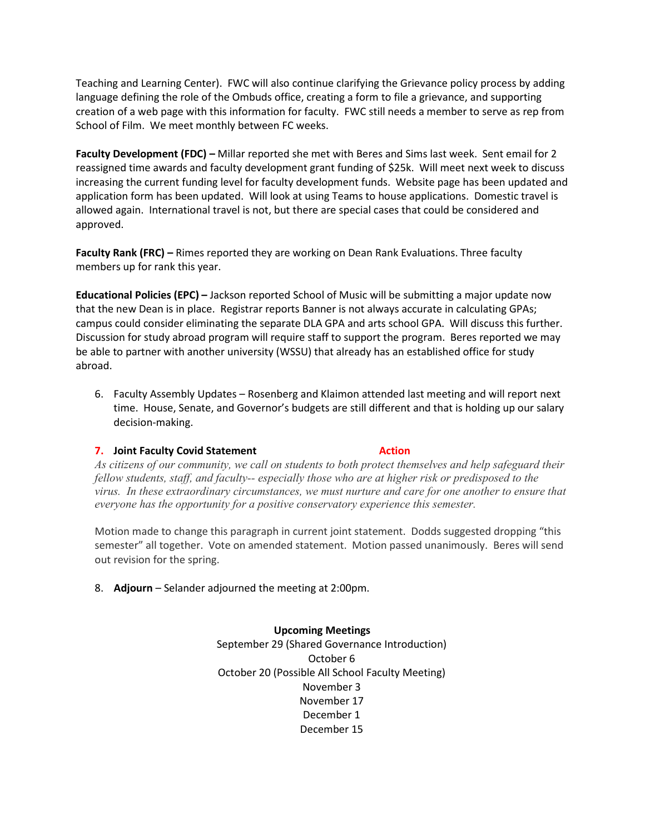Teaching and Learning Center). FWC will also continue clarifying the Grievance policy process by adding language defining the role of the Ombuds office, creating a form to file a grievance, and supporting creation of a web page with this information for faculty. FWC still needs a member to serve as rep from School of Film. We meet monthly between FC weeks.

**Faculty Development (FDC) –** Millar reported she met with Beres and Sims last week. Sent email for 2 reassigned time awards and faculty development grant funding of \$25k. Will meet next week to discuss increasing the current funding level for faculty development funds. Website page has been updated and application form has been updated. Will look at using Teams to house applications. Domestic travel is allowed again. International travel is not, but there are special cases that could be considered and approved.

**Faculty Rank (FRC) –** Rimes reported they are working on Dean Rank Evaluations. Three faculty members up for rank this year.

**Educational Policies (EPC) –** Jackson reported School of Music will be submitting a major update now that the new Dean is in place. Registrar reports Banner is not always accurate in calculating GPAs; campus could consider eliminating the separate DLA GPA and arts school GPA. Will discuss this further. Discussion for study abroad program will require staff to support the program. Beres reported we may be able to partner with another university (WSSU) that already has an established office for study abroad.

6. Faculty Assembly Updates – Rosenberg and Klaimon attended last meeting and will report next time. House, Senate, and Governor's budgets are still different and that is holding up our salary decision-making.

### **7. Joint Faculty Covid Statement Action**

*As citizens of our community, we call on students to both protect themselves and help safeguard their fellow students, staff, and faculty-- especially those who are at higher risk or predisposed to the virus. In these extraordinary circumstances, we must nurture and care for one another to ensure that everyone has the opportunity for a positive conservatory experience this semester.*

Motion made to change this paragraph in current joint statement. Dodds suggested dropping "this semester" all together. Vote on amended statement. Motion passed unanimously. Beres will send out revision for the spring.

8. **Adjourn** – Selander adjourned the meeting at 2:00pm.

### **Upcoming Meetings**

September 29 (Shared Governance Introduction) October 6 October 20 (Possible All School Faculty Meeting) November 3 November 17 December 1 December 15